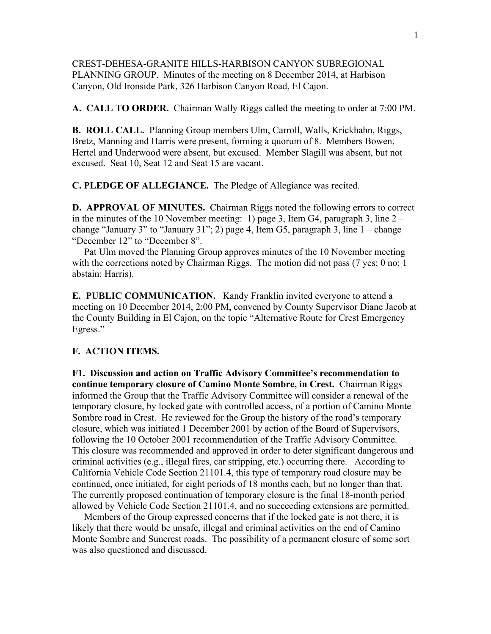CREST-DEHESA-GRANITE HILLS-HARBISON CANYON SUBREGIONAL PLANNING GROUP. Minutes of the meeting on 8 December 2014, at Harbison Canyon, Old Ironside Park, 326 Harbison Canyon Road, El Cajon.

**A. CALL TO ORDER.** Chairman Wally Riggs called the meeting to order at 7:00 PM.

**B. ROLL CALL.** Planning Group members Ulm, Carroll, Walls, Krickhahn, Riggs, Bretz, Manning and Harris were present, forming a quorum of 8. Members Bowen, Hertel and Underwood were absent, but excused. Member Slagill was absent, but not excused. Seat 10, Seat 12 and Seat 15 are vacant.

**C. PLEDGE OF ALLEGIANCE.** The Pledge of Allegiance was recited.

**D. APPROVAL OF MINUTES.** Chairman Riggs noted the following errors to correct in the minutes of the 10 November meeting: 1) page 3, Item G4, paragraph 3, line 2 – change "January 3" to "January 31"; 2) page 4, Item  $G5$ , paragraph 3, line  $1$  – change "December 12" to "December 8".

 Pat Ulm moved the Planning Group approves minutes of the 10 November meeting with the corrections noted by Chairman Riggs. The motion did not pass (7 yes; 0 no; 1) abstain: Harris).

**E. PUBLIC COMMUNICATION.** Kandy Franklin invited everyone to attend a meeting on 10 December 2014, 2:00 PM, convened by County Supervisor Diane Jacob at the County Building in El Cajon, on the topic "Alternative Route for Crest Emergency Egress."

## **F. ACTION ITEMS.**

**F1. Discussion and action on Traffic Advisory Committee's recommendation to continue temporary closure of Camino Monte Sombre, in Crest.** Chairman Riggs informed the Group that the Traffic Advisory Committee will consider a renewal of the temporary closure, by locked gate with controlled access, of a portion of Camino Monte Sombre road in Crest. He reviewed for the Group the history of the road's temporary closure, which was initiated 1 December 2001 by action of the Board of Supervisors, following the 10 October 2001 recommendation of the Traffic Advisory Committee. This closure was recommended and approved in order to deter significant dangerous and criminal activities (e.g., illegal fires, car stripping, etc.) occurring there. According to California Vehicle Code Section 21101.4, this type of temporary road closure may be continued, once initiated, for eight periods of 18 months each, but no longer than that. The currently proposed continuation of temporary closure is the final 18-month period allowed by Vehicle Code Section 21101.4, and no succeeding extensions are permitted.

 Members of the Group expressed concerns that if the locked gate is not there, it is likely that there would be unsafe, illegal and criminal activities on the end of Camino Monte Sombre and Suncrest roads. The possibility of a permanent closure of some sort was also questioned and discussed.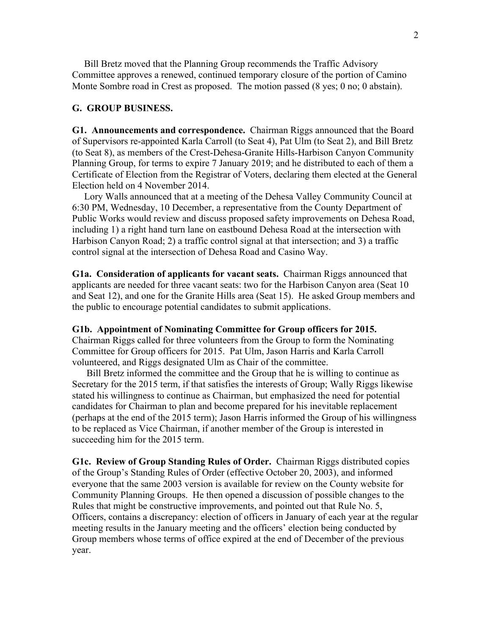Bill Bretz moved that the Planning Group recommends the Traffic Advisory Committee approves a renewed, continued temporary closure of the portion of Camino Monte Sombre road in Crest as proposed. The motion passed (8 yes; 0 no; 0 abstain).

## **G. GROUP BUSINESS.**

**G1. Announcements and correspondence.** Chairman Riggs announced that the Board of Supervisors re-appointed Karla Carroll (to Seat 4), Pat Ulm (to Seat 2), and Bill Bretz (to Seat 8), as members of the Crest-Dehesa-Granite Hills-Harbison Canyon Community Planning Group, for terms to expire 7 January 2019; and he distributed to each of them a Certificate of Election from the Registrar of Voters, declaring them elected at the General Election held on 4 November 2014.

 Lory Walls announced that at a meeting of the Dehesa Valley Community Council at 6:30 PM, Wednesday, 10 December, a representative from the County Department of Public Works would review and discuss proposed safety improvements on Dehesa Road, including 1) a right hand turn lane on eastbound Dehesa Road at the intersection with Harbison Canyon Road; 2) a traffic control signal at that intersection; and 3) a traffic control signal at the intersection of Dehesa Road and Casino Way.

**G1a. Consideration of applicants for vacant seats.** Chairman Riggs announced that applicants are needed for three vacant seats: two for the Harbison Canyon area (Seat 10 and Seat 12), and one for the Granite Hills area (Seat 15). He asked Group members and the public to encourage potential candidates to submit applications.

**G1b. Appointment of Nominating Committee for Group officers for 2015.** Chairman Riggs called for three volunteers from the Group to form the Nominating Committee for Group officers for 2015. Pat Ulm, Jason Harris and Karla Carroll

volunteered, and Riggs designated Ulm as Chair of the committee.

 Bill Bretz informed the committee and the Group that he is willing to continue as Secretary for the 2015 term, if that satisfies the interests of Group; Wally Riggs likewise stated his willingness to continue as Chairman, but emphasized the need for potential candidates for Chairman to plan and become prepared for his inevitable replacement (perhaps at the end of the 2015 term); Jason Harris informed the Group of his willingness to be replaced as Vice Chairman, if another member of the Group is interested in succeeding him for the 2015 term.

**G1c. Review of Group Standing Rules of Order.** Chairman Riggs distributed copies of the Group's Standing Rules of Order (effective October 20, 2003), and informed everyone that the same 2003 version is available for review on the County website for Community Planning Groups. He then opened a discussion of possible changes to the Rules that might be constructive improvements, and pointed out that Rule No. 5, Officers, contains a discrepancy: election of officers in January of each year at the regular meeting results in the January meeting and the officers' election being conducted by Group members whose terms of office expired at the end of December of the previous year.